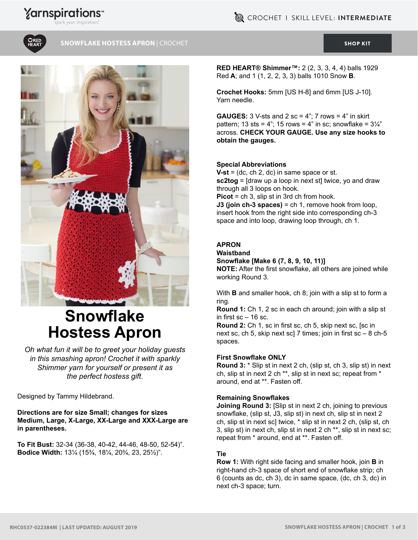# **Yarnspirations**



#### **SNOWFLAKE HOSTESS APRON |** CROCHET [SHOP KIT](https://www.yarnspirations.com/red-heart-snowflake-hostess-apron/RHC0537-022384M.html#utm_source=pdf-yarnspirations&utm_medium=referral&utm_campaign=pdf-RHC0537-022384M) SHOP KITS SHOP KITS



# **Snowflake Hostess Apron**

*Oh what fun it will be to greet your holiday guests in this smashing apron! Crochet it with sparkly Shimmer yarn for yourself or present it as the perfect hostess gift.*

Designed by Tammy Hildebrand.

**Directions are for size Small; changes for sizes Medium, Large, X-Large, XX-Large and XXX-Large are in parentheses.**

**To Fit Bust:** 32-34 (36-38, 40-42, 44-46, 48-50, 52-54)". **Bodice Width:** 13¼ (15¾, 18¼, 20¾, 23, 25½)".

**RED HEART® Shimmer™:** 2 (2, 3, 3, 4, 4) balls 1929 Red **A**; and 1 (1, 2, 2, 3, 3) balls 1010 Snow **B**.

**Crochet Hooks:** 5mm [US H-8] and 6mm [US J-10]. Yarn needle.

**GAUGES:**  $3 \text{ V-sts}$  and  $2 \text{ sc} = 4$ ";  $7 \text{ rows} = 4$ " in skirt pattern; 13 sts = 4"; 15 rows = 4" in sc; snowflake =  $3\frac{1}{4}$ " across. **CHECK YOUR GAUGE. Use any size hooks to obtain the gauges.**

#### **Special Abbreviations**

**V-st** = (dc, ch 2, dc) in same space or st. **sc2tog** = [draw up a loop in next st] twice, yo and draw through all 3 loops on hook. **Picot** = ch 3, slip st in 3rd ch from hook. **J3 (join ch-3 spaces)** = ch 1, remove hook from loop, insert hook from the right side into corresponding ch-3

space and into loop, drawing loop through, ch 1.

#### **APRON**

**Waistband Snowflake [Make 6 (7, 8, 9, 10, 11)]**

**NOTE:** After the first snowflake, all others are joined while working Round 3.

With **B** and smaller hook, ch 8; join with a slip st to form a ring.

**Round 1:** Ch 1, 2 sc in each ch around; join with a slip st in first  $\mathrm{sc}$  – 16 sc.

**Round 2:** Ch 1, sc in first sc, ch 5, skip next sc, [sc in next sc, ch 5, skip next sc] 7 times; join in first  $sc - 8$  ch-5 spaces.

#### **First Snowflake ONLY**

**Round 3:** \* Slip st in next 2 ch, (slip st, ch 3, slip st) in next ch, slip st in next 2 ch \*\*, slip st in next sc; repeat from \* around, end at \*\*. Fasten off.

#### **Remaining Snowflakes**

**Joining Round 3: [Slip st in next 2 ch, joining to previous** snowflake, (slip st, J3, slip st) in next ch, slip st in next 2 ch, slip st in next sc] twice, \* slip st in next 2 ch, (slip st, ch 3, slip st) in next ch, slip st in next 2 ch \*\*, slip st in next sc; repeat from \* around, end at \*\*. Fasten off.

#### **Tie**

**Row 1:** With right side facing and smaller hook, join **B** in right-hand ch-3 space of short end of snowflake strip; ch 6 (counts as dc, ch 3), dc in same space, (dc, ch 3, dc) in next ch-3 space; turn.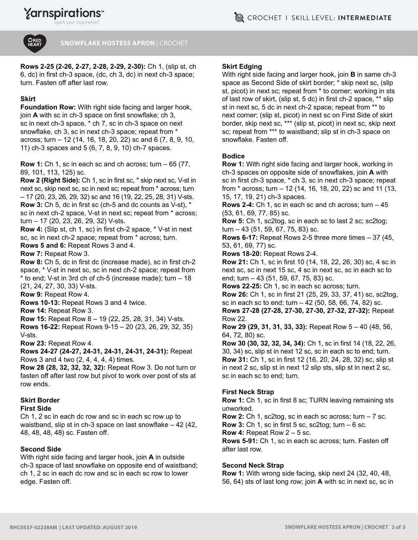ark vour inspiration!



#### **SNOWFLAKE HOSTESS APRON** | CROCHET

**Rows 2-25 (2-26, 2-27, 2-28, 2-29, 2-30):** Ch 1, (slip st, ch 6, dc) in first ch-3 space, (dc, ch 3, dc) in next ch-3 space; turn. Fasten off after last row.

# **Skirt**

**Foundation Row:** With right side facing and larger hook, join **A** with sc in ch-3 space on first snowflake; ch 3, sc in next ch-3 space, \* ch 7, sc in ch-3 space on next snowflake, ch 3, sc in next ch-3 space; repeat from \* across; turn – 12 (14, 16, 18, 20, 22) sc and 6 (7, 8, 9, 10, 11) ch-3 spaces and 5 (6, 7, 8, 9, 10) ch-7 spaces.

**Row 1:** Ch 1, sc in each sc and ch across; turn – 65 (77, 89, 101, 113, 125) sc.

**Row 2 (Right Side):** Ch 1, sc in first sc, \* skip next sc, V-st in next sc, skip next sc, sc in next sc; repeat from \* across; turn – 17 (20, 23, 26, 29, 32) sc and 16 (19, 22, 25, 28, 31) V-sts. **Row 3:** Ch 5, dc in first sc (ch-5 and dc counts as V-st), \* sc in next ch-2 space, V-st in next sc; repeat from \* across; turn – 17 (20, 23, 26, 29, 32) V-sts.

**Row 4:** (Slip st, ch 1, sc) in first ch-2 space, \* V-st in next sc, sc in next ch-2 space; repeat from \* across; turn.

**Rows 5 and 6:** Repeat Rows 3 and 4.

**Row 7:** Repeat Row 3.

**Row 8:** Ch 5, dc in first dc (increase made), sc in first ch-2 space, \* V-st in next sc, sc in next ch-2 space; repeat from \* to end; V-st in 3rd ch of ch-5 (increase made); turn – 18 (21, 24, 27, 30, 33) V-sts.

**Row 9:** Repeat Row 4.

**Rows 10-13:** Repeat Rows 3 and 4 twice.

**Row 14:** Repeat Row 3.

**Row 15:** Repeat Row 8 – 19 (22, 25, 28, 31, 34) V-sts.

**Rows 16-22:** Repeat Rows 9-15 – 20 (23, 26, 29, 32, 35) V-sts.

**Row 23:** Repeat Row 4.

**Rows 24-27 (24-27, 24-31, 24-31, 24-31, 24-31):** Repeat Rows 3 and 4 two (2, 4, 4, 4, 4) times.

**Row 28 (28, 32, 32, 32, 32):** Repeat Row 3. Do not turn or fasten off after last row but pivot to work over post of sts at row ends.

# **Skirt Border**

#### **First Side**

Ch 1, 2 sc in each dc row and sc in each sc row up to waistband, slip st in ch-3 space on last snowflake – 42 (42, 48, 48, 48, 48) sc. Fasten off.

# **Second Side**

With right side facing and larger hook, join **A** in outside ch-3 space of last snowflake on opposite end of waistband; ch 1, 2 sc in each dc row and sc in each sc row to lower edge. Fasten off.

# **Skirt Edging**

With right side facing and larger hook, join **B** in same ch-3 space as Second Side of skirt border; \* skip next sc, (slip st, picot) in next sc; repeat from \* to corner; working in sts of last row of skirt, (slip st, 5 dc) in first ch-2 space, \*\* slip st in next sc, 5 dc in next ch-2 space; repeat from \*\* to next corner; (slip st, picot) in next sc on First Side of skirt border, skip next sc, \*\*\* (slip st, picot) in next sc, skip next sc; repeat from \*\*\* to waistband; slip st in ch-3 space on snowflake. Fasten off.

#### **Bodice**

**Row 1:** With right side facing and larger hook, working in ch-3 spaces on opposite side of snowflakes, join **A** with sc in first ch-3 space, \* ch 3, sc in next ch-3 space; repeat from \* across; turn – 12 (14, 16, 18, 20, 22) sc and 11 (13, 15, 17, 19, 21) ch-3 spaces.

**Rows 2-4:** Ch 1, sc in each sc and ch across; turn – 45 (53, 61, 69, 77, 85) sc.

**Row 5:** Ch 1, sc2tog, sc in each sc to last 2 sc; sc2tog; turn – 43 (51, 59, 67, 75, 83) sc.

**Rows 6-17:** Repeat Rows 2-5 three more times – 37 (45, 53, 61, 69, 77) sc.

**Rows 18-20:** Repeat Rows 2-4.

**Row 21:** Ch 1, sc in first 10 (14, 18, 22, 26, 30) sc, 4 sc in next sc, sc in next 15 sc, 4 sc in next sc, sc in each sc to end; turn – 43 (51, 59, 67, 75, 83) sc.

**Rows 22-25:** Ch 1, sc in each sc across; turn. **Row 26:** Ch 1, sc in first 21 (25, 29, 33, 37, 41) sc, sc2tog, sc in each sc to end; turn – 42 (50, 58, 66, 74, 82) sc. **Rows 27-28 (27-28, 27-30, 27-30, 27-32, 27-32):** Repeat

Row 22. **Row 29 (29, 31, 31, 33, 33):** Repeat Row 5 – 40 (48, 56, 64, 72, 80) sc.

**Row 30 (30, 32, 32, 34, 34):** Ch 1, sc in first 14 (18, 22, 26, 30, 34) sc, slip st in next 12 sc, sc in each sc to end; turn. **Row 31:** Ch 1, sc in first 12 (16, 20, 24, 28, 32) sc, slip st in next 2 sc, slip st in next 12 slip sts, slip st in next 2 sc, sc in each sc to end; turn.

# **First Neck Strap**

**Row 1:** Ch 1, sc in first 8 sc; TURN leaving remaining sts unworked.

**Row 2:** Ch 1, sc2tog, sc in each sc across; turn – 7 sc. **Row 3:** Ch 1, sc in first 5 sc, sc2tog; turn – 6 sc.

**Row 4:** Repeat Row 2 – 5 sc.

**Rows 5-91:** Ch 1, sc in each sc across; turn. Fasten off after last row.

# **Second Neck Strap**

**Row 1:** With wrong side facing, skip next 24 (32, 40, 48, 56, 64) sts of last long row; join **A** with sc in next sc, sc in